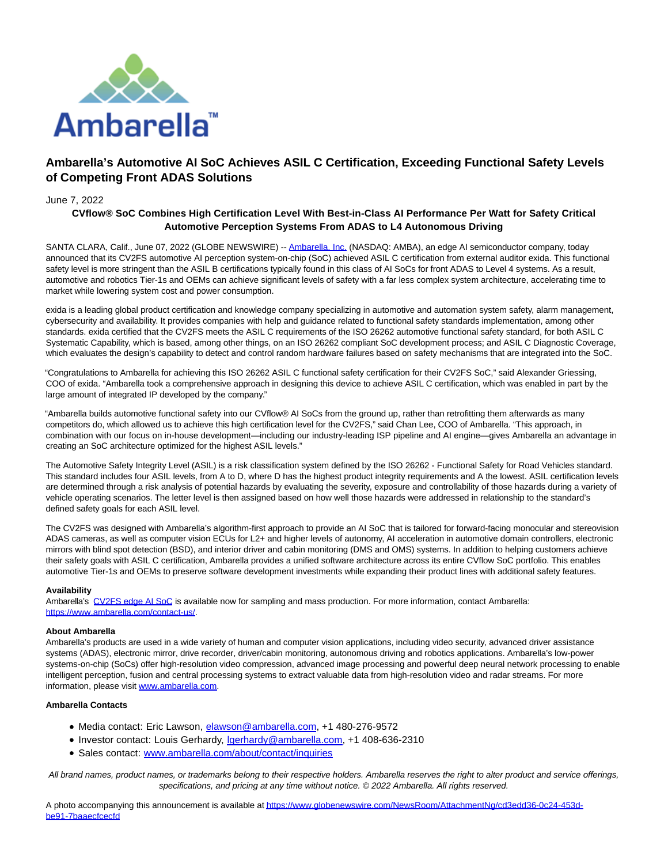

# **Ambarella's Automotive AI SoC Achieves ASIL C Certification, Exceeding Functional Safety Levels of Competing Front ADAS Solutions**

## June 7, 2022

## **CVflow® SoC Combines High Certification Level With Best-in-Class AI Performance Per Watt for Safety Critical Automotive Perception Systems From ADAS to L4 Autonomous Driving**

SANTA CLARA, Calif., June 07, 2022 (GLOBE NEWSWIRE) -- [Ambarella, Inc. \(](https://www.globenewswire.com/Tracker?data=FB8lK3i53xc2gfFDZx4O69hqzj8ykbruq2RTwLUEHrmtI9VnYlwhmX7IdYbJRNRu-b6mpiTva1n5WrbZa0bChQ==)NASDAQ: AMBA), an edge AI semiconductor company, today announced that its CV2FS automotive AI perception system-on-chip (SoC) achieved ASIL C certification from external auditor exida. This functional safety level is more stringent than the ASIL B certifications typically found in this class of AI SoCs for front ADAS to Level 4 systems. As a result, automotive and robotics Tier-1s and OEMs can achieve significant levels of safety with a far less complex system architecture, accelerating time to market while lowering system cost and power consumption.

exida is a leading global product certification and knowledge company specializing in automotive and automation system safety, alarm management, cybersecurity and availability. It provides companies with help and guidance related to functional safety standards implementation, among other standards. exida certified that the CV2FS meets the ASIL C requirements of the ISO 26262 automotive functional safety standard, for both ASIL C Systematic Capability, which is based, among other things, on an ISO 26262 compliant SoC development process; and ASIL C Diagnostic Coverage, which evaluates the design's capability to detect and control random hardware failures based on safety mechanisms that are integrated into the SoC.

"Congratulations to Ambarella for achieving this ISO 26262 ASIL C functional safety certification for their CV2FS SoC," said Alexander Griessing, COO of exida. "Ambarella took a comprehensive approach in designing this device to achieve ASIL C certification, which was enabled in part by the large amount of integrated IP developed by the company."

"Ambarella builds automotive functional safety into our CVflow® AI SoCs from the ground up, rather than retrofitting them afterwards as many competitors do, which allowed us to achieve this high certification level for the CV2FS," said Chan Lee, COO of Ambarella. "This approach, in combination with our focus on in-house development—including our industry-leading ISP pipeline and AI engine—gives Ambarella an advantage in creating an SoC architecture optimized for the highest ASIL levels."

The Automotive Safety Integrity Level (ASIL) is a risk classification system defined by the ISO 26262 - Functional Safety for Road Vehicles standard. This standard includes four ASIL levels, from A to D, where D has the highest product integrity requirements and A the lowest. ASIL certification levels are determined through a risk analysis of potential hazards by evaluating the severity, exposure and controllability of those hazards during a variety of vehicle operating scenarios. The letter level is then assigned based on how well those hazards were addressed in relationship to the standard's defined safety goals for each ASIL level.

The CV2FS was designed with Ambarella's algorithm-first approach to provide an AI SoC that is tailored for forward-facing monocular and stereovision ADAS cameras, as well as computer vision ECUs for L2+ and higher levels of autonomy, AI acceleration in automotive domain controllers, electronic mirrors with blind spot detection (BSD), and interior driver and cabin monitoring (DMS and OMS) systems. In addition to helping customers achieve their safety goals with ASIL C certification, Ambarella provides a unified software architecture across its entire CVflow SoC portfolio. This enables automotive Tier-1s and OEMs to preserve software development investments while expanding their product lines with additional safety features.

#### **Availability**

Ambarella's [CV2FS edge AI SoC i](https://www.globenewswire.com/Tracker?data=J3yf1rrMejvyfZYeDH8tTd6WGqqEs1NQDNRJOcEHtioxLb4UsHKz-P5O9o0NB5qblgVH32a_a6SmF5_E-aYNq8HGQpnwU95MRHvZUsLSOrvGNu2WUi9Q9-xtqoRPqQ-8)s available now for sampling and mass production. For more information, contact Ambarella: [https://www.ambarella.com/contact-us/.](https://www.globenewswire.com/Tracker?data=zex59moXHZD8gp63noz-86dng2qYEFjYoVTjEq6EYYebRiwosiCDea6sMNczSke-2jurvQUSBS_VfctITGLrkvtRsL7XO8IMqMoG44KlRlvlmx_n6YegmsjDnLXKjGed)

### **About Ambarella**

Ambarella's products are used in a wide variety of human and computer vision applications, including video security, advanced driver assistance systems (ADAS), electronic mirror, drive recorder, driver/cabin monitoring, autonomous driving and robotics applications. Ambarella's low-power systems-on-chip (SoCs) offer high-resolution video compression, advanced image processing and powerful deep neural network processing to enable intelligent perception, fusion and central processing systems to extract valuable data from high-resolution video and radar streams. For more information, please visi[t www.ambarella.com.](https://www.globenewswire.com/Tracker?data=i0mlMwj2rC5VmBRtqjte7_BkK_HcnxkzEMgX4RBNRK8namswZuUlbNcAekoeMFJMwQjfbeJSapI4O6We7ETAuQ==)

#### **Ambarella Contacts**

- Media contact: Eric Lawson, [elawson@ambarella.com,](mailto:elawson@ambarella.com) +1 480-276-9572
- Investor contact: Louis Gerhardy, *lgerhardy@ambarella.com*, +1 408-636-2310
- Sales contact: [www.ambarella.com/about/contact/inquiries](http://www.ambarella.com/about/contact/inquiries)

All brand names, product names, or trademarks belong to their respective holders. Ambarella reserves the right to alter product and service offerings, specifications, and pricing at any time without notice. © 2022 Ambarella. All rights reserved.

A photo accompanying this announcement is available a[t https://www.globenewswire.com/NewsRoom/AttachmentNg/cd3edd36-0c24-453d](https://www.globenewswire.com/Tracker?data=zex59moXHZD8gp63noz-80zrmf8xf8naYWk6KAJH-p9nEy5YR2ZUzFvCI_xHypaMOWd-QmUw6drGxbr9zkfYaLbKdc6xSwRitSFHbm8N3TBdJuyvIJmz4enn9H4I0KD9cAGAY-gPrCU7fow4_E9cspLENf6LMoWNbLUbKu0uthv5Rug6L524pdwHoxOwFMpgoKfaUmJeSjJ1wXaaqhOPEqj64W5hydZWoIH4CZPwwysWkfBdSTnRyQiMzU02sSuebcWVZsgGfryNesCChvgHzQ==)be91-7baaecfcecfd